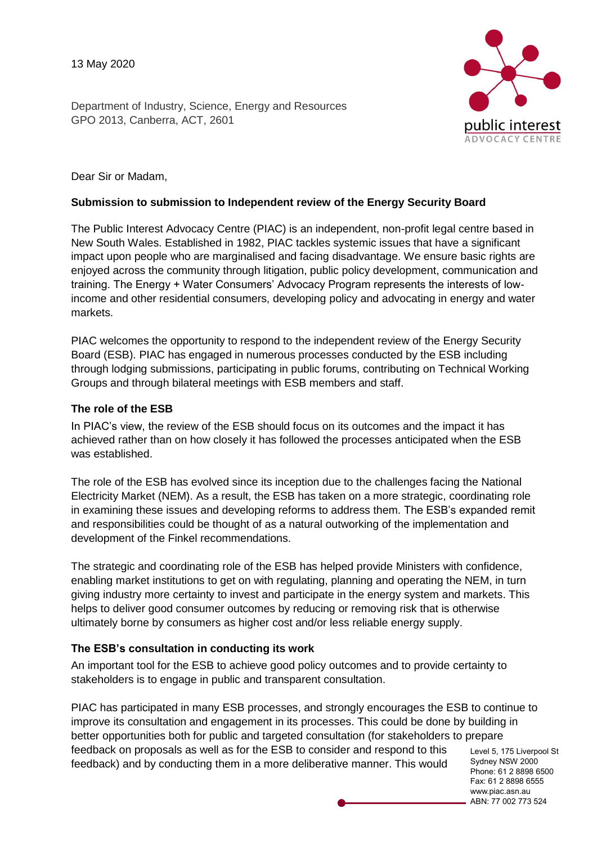13 May 2020

Department of Industry, Science, Energy and Resources GPO 2013, Canberra, ACT, 2601



Dear Sir or Madam,

#### **Submission to submission to Independent review of the Energy Security Board**

The Public Interest Advocacy Centre (PIAC) is an independent, non-profit legal centre based in New South Wales. Established in 1982, PIAC tackles systemic issues that have a significant impact upon people who are marginalised and facing disadvantage. We ensure basic rights are enjoyed across the community through litigation, public policy development, communication and training. The Energy + Water Consumers' Advocacy Program represents the interests of lowincome and other residential consumers, developing policy and advocating in energy and water markets.

PIAC welcomes the opportunity to respond to the independent review of the Energy Security Board (ESB). PIAC has engaged in numerous processes conducted by the ESB including through lodging submissions, participating in public forums, contributing on Technical Working Groups and through bilateral meetings with ESB members and staff.

### **The role of the ESB**

In PIAC's view, the review of the ESB should focus on its outcomes and the impact it has achieved rather than on how closely it has followed the processes anticipated when the ESB was established.

The role of the ESB has evolved since its inception due to the challenges facing the National Electricity Market (NEM). As a result, the ESB has taken on a more strategic, coordinating role in examining these issues and developing reforms to address them. The ESB's expanded remit and responsibilities could be thought of as a natural outworking of the implementation and development of the Finkel recommendations.

The strategic and coordinating role of the ESB has helped provide Ministers with confidence, enabling market institutions to get on with regulating, planning and operating the NEM, in turn giving industry more certainty to invest and participate in the energy system and markets. This helps to deliver good consumer outcomes by reducing or removing risk that is otherwise ultimately borne by consumers as higher cost and/or less reliable energy supply.

## **The ESB's consultation in conducting its work**

An important tool for the ESB to achieve good policy outcomes and to provide certainty to stakeholders is to engage in public and transparent consultation.

Level 5, 175 Liverpool St Sydney NSW 2000 PIAC has participated in many ESB processes, and strongly encourages the ESB to continue to improve its consultation and engagement in its processes. This could be done by building in better opportunities both for public and targeted consultation (for stakeholders to prepare feedback on proposals as well as for the ESB to consider and respond to this feedback) and by conducting them in a more deliberative manner. This would

Phone: 61 2 8898 6500 Fax: 61 2 8898 6555 www.piac.asn.au ABN: 77 002 773 524